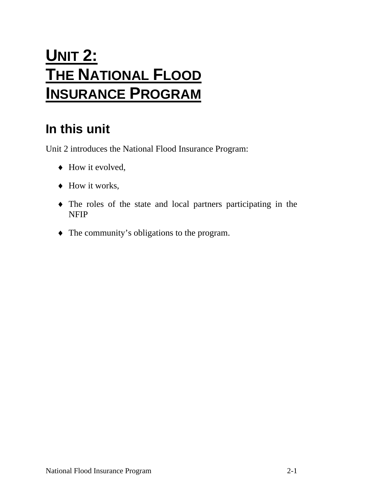# **UNIT 2: THE NATIONAL FLOOD INSURANCE PROGRAM**

# **In this unit**

Unit 2 introduces the National Flood Insurance Program:

- $\blacklozenge$  How it evolved,
- ♦ How it works,
- ♦ The roles of the state and local partners participating in the NFIP
- ♦ The community's obligations to the program.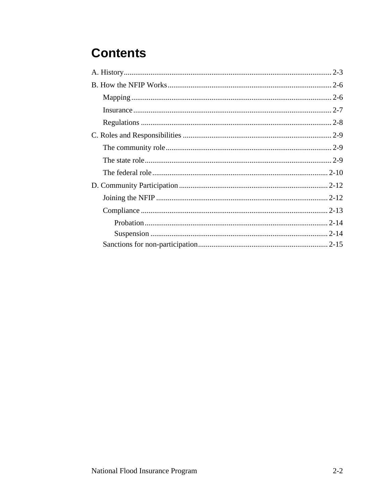# **Contents**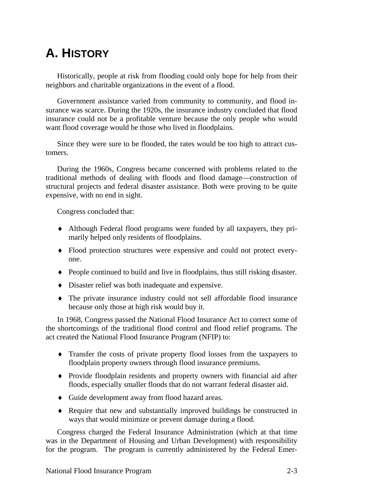## <span id="page-2-0"></span>**A. HISTORY**

Historically, people at risk from flooding could only hope for help from their neighbors and charitable organizations in the event of a flood.

Government assistance varied from community to community, and flood insurance was scarce. During the 1920s, the insurance industry concluded that flood insurance could not be a profitable venture because the only people who would want flood coverage would be those who lived in floodplains.

Since they were sure to be flooded, the rates would be too high to attract customers.

During the 1960s, Congress became concerned with problems related to the traditional methods of dealing with floods and flood damage—construction of structural projects and federal disaster assistance. Both were proving to be quite expensive, with no end in sight.

Congress concluded that:

- ♦ Although Federal flood programs were funded by all taxpayers, they primarily helped only residents of floodplains.
- ♦ Flood protection structures were expensive and could not protect everyone.
- ♦ People continued to build and live in floodplains, thus still risking disaster.
- ♦ Disaster relief was both inadequate and expensive.
- ♦ The private insurance industry could not sell affordable flood insurance because only those at high risk would buy it.

In 1968, Congress passed the National Flood Insurance Act to correct some of the shortcomings of the traditional flood control and flood relief programs. The act created the National Flood Insurance Program (NFIP) to:

- ♦ Transfer the costs of private property flood losses from the taxpayers to floodplain property owners through flood insurance premiums.
- ♦ Provide floodplain residents and property owners with financial aid after floods, especially smaller floods that do not warrant federal disaster aid.
- ♦ Guide development away from flood hazard areas.
- ♦ Require that new and substantially improved buildings be constructed in ways that would minimize or prevent damage during a flood.

Congress charged the Federal Insurance Administration (which at that time was in the Department of Housing and Urban Development) with responsibility for the program. The program is currently administered by the Federal Emer-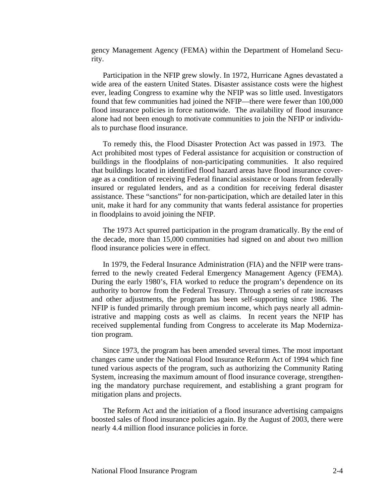gency Management Agency (FEMA) within the Department of Homeland Security.

Participation in the NFIP grew slowly. In 1972, Hurricane Agnes devastated a wide area of the eastern United States. Disaster assistance costs were the highest ever, leading Congress to examine why the NFIP was so little used. Investigators found that few communities had joined the NFIP—there were fewer than 100,000 flood insurance policies in force nationwide. The availability of flood insurance alone had not been enough to motivate communities to join the NFIP or individuals to purchase flood insurance.

To remedy this, the Flood Disaster Protection Act was passed in 1973. The Act prohibited most types of Federal assistance for acquisition or construction of buildings in the floodplains of non-participating communities. It also required that buildings located in identified flood hazard areas have flood insurance coverage as a condition of receiving Federal financial assistance or loans from federally insured or regulated lenders, and as a condition for receiving federal disaster assistance. These "sanctions" for non-participation, which are detailed later in this unit, make it hard for any community that wants federal assistance for properties in floodplains to avoid joining the NFIP.

The 1973 Act spurred participation in the program dramatically. By the end of the decade, more than 15,000 communities had signed on and about two million flood insurance policies were in effect.

In 1979, the Federal Insurance Administration (FIA) and the NFIP were transferred to the newly created Federal Emergency Management Agency (FEMA). During the early 1980's, FIA worked to reduce the program's dependence on its authority to borrow from the Federal Treasury. Through a series of rate increases and other adjustments, the program has been self-supporting since 1986. The NFIP is funded primarily through premium income, which pays nearly all administrative and mapping costs as well as claims. In recent years the NFIP has received supplemental funding from Congress to accelerate its Map Modernization program.

Since 1973, the program has been amended several times. The most important changes came under the National Flood Insurance Reform Act of 1994 which fine tuned various aspects of the program, such as authorizing the Community Rating System, increasing the maximum amount of flood insurance coverage, strengthening the mandatory purchase requirement, and establishing a grant program for mitigation plans and projects.

The Reform Act and the initiation of a flood insurance advertising campaigns boosted sales of flood insurance policies again. By the August of 2003, there were nearly 4.4 million flood insurance policies in force.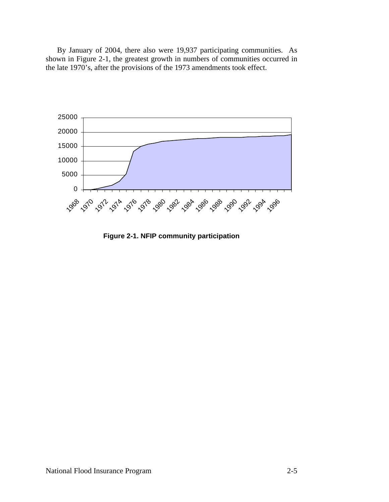By January of 2004, there also were 19,937 participating communities. As shown in Figure 2-1, the greatest growth in numbers of communities occurred in the late 1970's, after the provisions of the 1973 amendments took effect.



**Figure 2-1. NFIP community participation**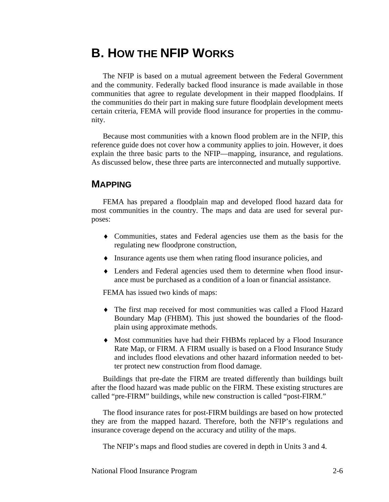### <span id="page-5-0"></span>**B. HOW THE NFIP WORKS**

The NFIP is based on a mutual agreement between the Federal Government and the community. Federally backed flood insurance is made available in those communities that agree to regulate development in their mapped floodplains. If the communities do their part in making sure future floodplain development meets certain criteria, FEMA will provide flood insurance for properties in the community.

Because most communities with a known flood problem are in the NFIP, this reference guide does not cover how a community applies to join. However, it does explain the three basic parts to the NFIP—mapping, insurance, and regulations. As discussed below, these three parts are interconnected and mutually supportive.

#### **MAPPING**

FEMA has prepared a floodplain map and developed flood hazard data for most communities in the country. The maps and data are used for several purposes:

- ♦ Communities, states and Federal agencies use them as the basis for the regulating new floodprone construction,
- ♦ Insurance agents use them when rating flood insurance policies, and
- ♦ Lenders and Federal agencies used them to determine when flood insurance must be purchased as a condition of a loan or financial assistance.

FEMA has issued two kinds of maps:

- ♦ The first map received for most communities was called a Flood Hazard Boundary Map (FHBM). This just showed the boundaries of the floodplain using approximate methods.
- ♦ Most communities have had their FHBMs replaced by a Flood Insurance Rate Map, or FIRM. A FIRM usually is based on a Flood Insurance Study and includes flood elevations and other hazard information needed to better protect new construction from flood damage.

Buildings that pre-date the FIRM are treated differently than buildings built after the flood hazard was made public on the FIRM. These existing structures are called "pre-FIRM" buildings, while new construction is called "post-FIRM."

The flood insurance rates for post-FIRM buildings are based on how protected they are from the mapped hazard. Therefore, both the NFIP's regulations and insurance coverage depend on the accuracy and utility of the maps.

The NFIP's maps and flood studies are covered in depth in Units 3 and 4.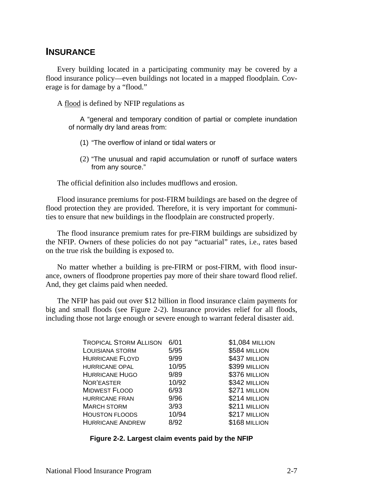#### <span id="page-6-0"></span>**INSURANCE**

Every building located in a participating community may be covered by a flood insurance policy—even buildings not located in a mapped floodplain. Coverage is for damage by a "flood."

A flood is defined by NFIP regulations as

A "general and temporary condition of partial or complete inundation of normally dry land areas from:

- (1) "The overflow of inland or tidal waters or
- (2) "The unusual and rapid accumulation or runoff of surface waters from any source."

The official definition also includes mudflows and erosion.

Flood insurance premiums for post-FIRM buildings are based on the degree of flood protection they are provided. Therefore, it is very important for communities to ensure that new buildings in the floodplain are constructed properly.

The flood insurance premium rates for pre-FIRM buildings are subsidized by the NFIP. Owners of these policies do not pay "actuarial" rates, i.e., rates based on the true risk the building is exposed to.

No matter whether a building is pre-FIRM or post-FIRM, with flood insurance, owners of floodprone properties pay more of their share toward flood relief. And, they get claims paid when needed.

The NFIP has paid out over \$12 billion in flood insurance claim payments for big and small floods (see Figure 2-2). Insurance provides relief for all floods, including those not large enough or severe enough to warrant federal disaster aid.

| <b>TROPICAL STORM ALLISON</b> | 6/01  | \$1,084 MILLION |
|-------------------------------|-------|-----------------|
| LOUISIANA STORM               | 5/95  | \$584 MILLION   |
| <b>HURRICANE FLOYD</b>        | 9/99  | \$437 MILLION   |
| <b>HURRICANE OPAL</b>         | 10/95 | \$399 MILLION   |
| <b>HURRICANE HUGO</b>         | 9/89  | \$376 MILLION   |
| NOR'EASTER                    | 10/92 | \$342 MILLION   |
| <b>MIDWEST FLOOD</b>          | 6/93  | \$271 MILLION   |
| <b>HURRICANE FRAN</b>         | 9/96  | \$214 MILLION   |
| <b>MARCH STORM</b>            | 3/93  | \$211 MILLION   |
| <b>HOUSTON FLOODS</b>         | 10/94 | \$217 MILLION   |
| <b>HURRICANE ANDREW</b>       | 8/92  | \$168 MILLION   |

**Figure 2-2. Largest claim events paid by the NFIP**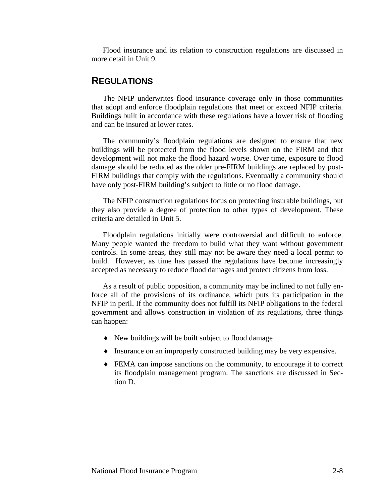<span id="page-7-0"></span>Flood insurance and its relation to construction regulations are discussed in more detail in Unit 9.

#### **REGULATIONS**

The NFIP underwrites flood insurance coverage only in those communities that adopt and enforce floodplain regulations that meet or exceed NFIP criteria. Buildings built in accordance with these regulations have a lower risk of flooding and can be insured at lower rates.

The community's floodplain regulations are designed to ensure that new buildings will be protected from the flood levels shown on the FIRM and that development will not make the flood hazard worse. Over time, exposure to flood damage should be reduced as the older pre-FIRM buildings are replaced by post-FIRM buildings that comply with the regulations. Eventually a community should have only post-FIRM building's subject to little or no flood damage.

The NFIP construction regulations focus on protecting insurable buildings, but they also provide a degree of protection to other types of development. These criteria are detailed in Unit 5.

Floodplain regulations initially were controversial and difficult to enforce. Many people wanted the freedom to build what they want without government controls. In some areas, they still may not be aware they need a local permit to build. However, as time has passed the regulations have become increasingly accepted as necessary to reduce flood damages and protect citizens from loss.

As a result of public opposition, a community may be inclined to not fully enforce all of the provisions of its ordinance, which puts its participation in the NFIP in peril. If the community does not fulfill its NFIP obligations to the federal government and allows construction in violation of its regulations, three things can happen:

- ♦ New buildings will be built subject to flood damage
- ♦ Insurance on an improperly constructed building may be very expensive.
- ♦ FEMA can impose sanctions on the community, to encourage it to correct its floodplain management program. The sanctions are discussed in Section D.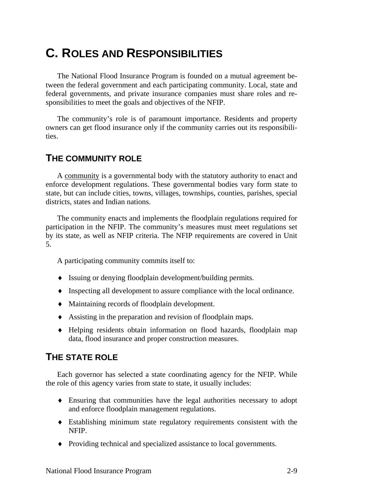### <span id="page-8-0"></span>**C. ROLES AND RESPONSIBILITIES**

The National Flood Insurance Program is founded on a mutual agreement between the federal government and each participating community. Local, state and federal governments, and private insurance companies must share roles and responsibilities to meet the goals and objectives of the NFIP.

The community's role is of paramount importance. Residents and property owners can get flood insurance only if the community carries out its responsibilities.

#### **THE COMMUNITY ROLE**

A community is a governmental body with the statutory authority to enact and enforce development regulations. These governmental bodies vary form state to state, but can include cities, towns, villages, townships, counties, parishes, special districts, states and Indian nations.

The community enacts and implements the floodplain regulations required for participation in the NFIP. The community's measures must meet regulations set by its state, as well as NFIP criteria. The NFIP requirements are covered in Unit 5.

A participating community commits itself to:

- ♦ Issuing or denying floodplain development/building permits.
- ♦ Inspecting all development to assure compliance with the local ordinance.
- ♦ Maintaining records of floodplain development.
- ♦ Assisting in the preparation and revision of floodplain maps.
- ♦ Helping residents obtain information on flood hazards, floodplain map data, flood insurance and proper construction measures.

### **THE STATE ROLE**

Each governor has selected a state coordinating agency for the NFIP. While the role of this agency varies from state to state, it usually includes:

- ♦ Ensuring that communities have the legal authorities necessary to adopt and enforce floodplain management regulations.
- ♦ Establishing minimum state regulatory requirements consistent with the NFIP.
- ♦ Providing technical and specialized assistance to local governments.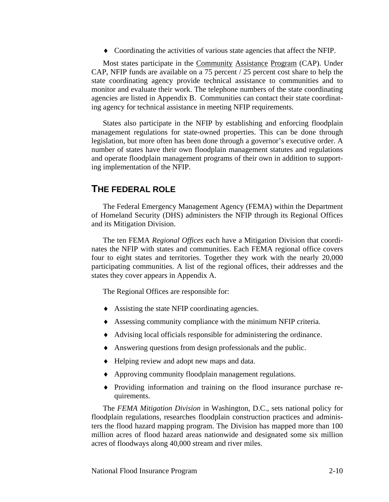♦ Coordinating the activities of various state agencies that affect the NFIP.

<span id="page-9-0"></span>Most states participate in the Community Assistance Program (CAP). Under CAP, NFIP funds are available on a 75 percent / 25 percent cost share to help the state coordinating agency provide technical assistance to communities and to monitor and evaluate their work. The telephone numbers of the state coordinating agencies are listed in Appendix B. Communities can contact their state coordinating agency for technical assistance in meeting NFIP requirements.

States also participate in the NFIP by establishing and enforcing floodplain management regulations for state-owned properties. This can be done through legislation, but more often has been done through a governor's executive order. A number of states have their own floodplain management statutes and regulations and operate floodplain management programs of their own in addition to supporting implementation of the NFIP.

#### **THE FEDERAL ROLE**

The Federal Emergency Management Agency (FEMA) within the Department of Homeland Security (DHS) administers the NFIP through its Regional Offices and its Mitigation Division.

The ten FEMA *Regional Offices* each have a Mitigation Division that coordinates the NFIP with states and communities. Each FEMA regional office covers four to eight states and territories. Together they work with the nearly 20,000 participating communities. A list of the regional offices, their addresses and the states they cover appears in Appendix A.

The Regional Offices are responsible for:

- ♦ Assisting the state NFIP coordinating agencies.
- ♦ Assessing community compliance with the minimum NFIP criteria.
- ♦ Advising local officials responsible for administering the ordinance.
- ♦ Answering questions from design professionals and the public.
- ♦ Helping review and adopt new maps and data.
- ♦ Approving community floodplain management regulations.
- ♦ Providing information and training on the flood insurance purchase requirements.

The *FEMA Mitigation Division* in Washington, D.C., sets national policy for floodplain regulations, researches floodplain construction practices and administers the flood hazard mapping program. The Division has mapped more than 100 million acres of flood hazard areas nationwide and designated some six million acres of floodways along 40,000 stream and river miles.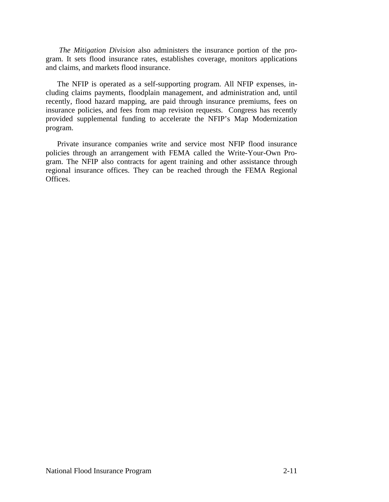*The Mitigation Division* also administers the insurance portion of the program. It sets flood insurance rates, establishes coverage, monitors applications and claims, and markets flood insurance.

The NFIP is operated as a self-supporting program. All NFIP expenses, including claims payments, floodplain management, and administration and, until recently, flood hazard mapping, are paid through insurance premiums, fees on insurance policies, and fees from map revision requests. Congress has recently provided supplemental funding to accelerate the NFIP's Map Modernization program.

Private insurance companies write and service most NFIP flood insurance policies through an arrangement with FEMA called the Write-Your-Own Program. The NFIP also contracts for agent training and other assistance through regional insurance offices. They can be reached through the FEMA Regional Offices.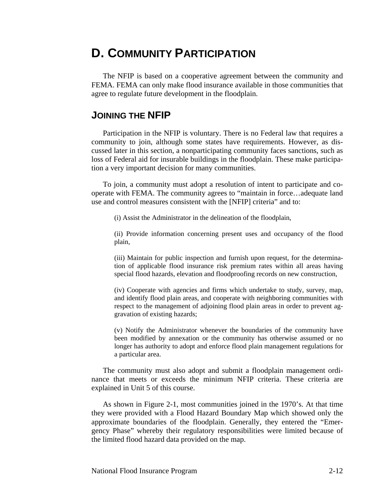### <span id="page-11-0"></span>**D. COMMUNITY PARTICIPATION**

The NFIP is based on a cooperative agreement between the community and FEMA. FEMA can only make flood insurance available in those communities that agree to regulate future development in the floodplain.

### **JOINING THE NFIP**

Participation in the NFIP is voluntary. There is no Federal law that requires a community to join, although some states have requirements. However, as discussed later in this section, a nonparticipating community faces sanctions, such as loss of Federal aid for insurable buildings in the floodplain. These make participation a very important decision for many communities.

To join, a community must adopt a resolution of intent to participate and cooperate with FEMA. The community agrees to "maintain in force…adequate land use and control measures consistent with the [NFIP] criteria" and to:

(i) Assist the Administrator in the delineation of the floodplain,

(ii) Provide information concerning present uses and occupancy of the flood plain,

(iii) Maintain for public inspection and furnish upon request, for the determination of applicable flood insurance risk premium rates within all areas having special flood hazards, elevation and floodproofing records on new construction,

(iv) Cooperate with agencies and firms which undertake to study, survey, map, and identify flood plain areas, and cooperate with neighboring communities with respect to the management of adjoining flood plain areas in order to prevent aggravation of existing hazards;

(v) Notify the Administrator whenever the boundaries of the community have been modified by annexation or the community has otherwise assumed or no longer has authority to adopt and enforce flood plain management regulations for a particular area.

The community must also adopt and submit a floodplain management ordinance that meets or exceeds the minimum NFIP criteria. These criteria are explained in Unit 5 of this course.

As shown in Figure 2-1, most communities joined in the 1970's. At that time they were provided with a Flood Hazard Boundary Map which showed only the approximate boundaries of the floodplain. Generally, they entered the "Emergency Phase" whereby their regulatory responsibilities were limited because of the limited flood hazard data provided on the map.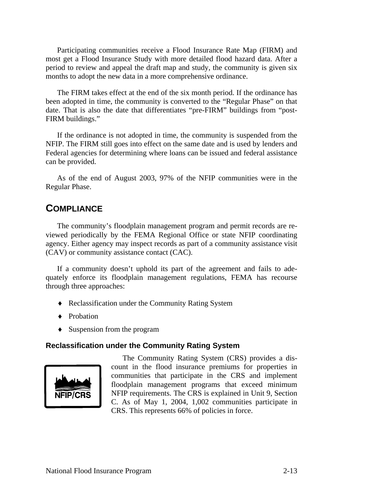<span id="page-12-0"></span>Participating communities receive a Flood Insurance Rate Map (FIRM) and most get a Flood Insurance Study with more detailed flood hazard data. After a period to review and appeal the draft map and study, the community is given six months to adopt the new data in a more comprehensive ordinance.

The FIRM takes effect at the end of the six month period. If the ordinance has been adopted in time, the community is converted to the "Regular Phase" on that date. That is also the date that differentiates "pre-FIRM" buildings from "post-FIRM buildings."

If the ordinance is not adopted in time, the community is suspended from the NFIP. The FIRM still goes into effect on the same date and is used by lenders and Federal agencies for determining where loans can be issued and federal assistance can be provided.

As of the end of August 2003, 97% of the NFIP communities were in the Regular Phase.

### **COMPLIANCE**

The community's floodplain management program and permit records are reviewed periodically by the FEMA Regional Office or state NFIP coordinating agency. Either agency may inspect records as part of a community assistance visit (CAV) or community assistance contact (CAC).

If a community doesn't uphold its part of the agreement and fails to adequately enforce its floodplain management regulations, FEMA has recourse through three approaches:

- ♦ Reclassification under the Community Rating System
- ♦ Probation
- ♦ Suspension from the program

#### **Reclassification under the Community Rating System**



The Community Rating System (CRS) provides a discount in the flood insurance premiums for properties in communities that participate in the CRS and implement floodplain management programs that exceed minimum NFIP requirements. The CRS is explained in Unit 9, Section C. As of May 1, 2004, 1,002 communities participate in CRS. This represents 66% of policies in force.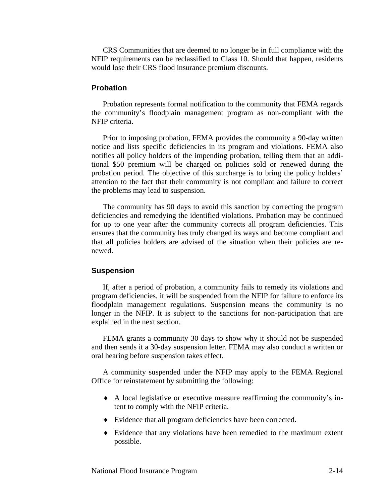<span id="page-13-0"></span>CRS Communities that are deemed to no longer be in full compliance with the NFIP requirements can be reclassified to Class 10. Should that happen, residents would lose their CRS flood insurance premium discounts.

#### **Probation**

Probation represents formal notification to the community that FEMA regards the community's floodplain management program as non-compliant with the NFIP criteria.

Prior to imposing probation, FEMA provides the community a 90-day written notice and lists specific deficiencies in its program and violations. FEMA also notifies all policy holders of the impending probation, telling them that an additional \$50 premium will be charged on policies sold or renewed during the probation period. The objective of this surcharge is to bring the policy holders' attention to the fact that their community is not compliant and failure to correct the problems may lead to suspension.

The community has 90 days to avoid this sanction by correcting the program deficiencies and remedying the identified violations. Probation may be continued for up to one year after the community corrects all program deficiencies. This ensures that the community has truly changed its ways and become compliant and that all policies holders are advised of the situation when their policies are renewed.

#### **Suspension**

If, after a period of probation, a community fails to remedy its violations and program deficiencies, it will be suspended from the NFIP for failure to enforce its floodplain management regulations. Suspension means the community is no longer in the NFIP. It is subject to the sanctions for non-participation that are explained in the next section.

FEMA grants a community 30 days to show why it should not be suspended and then sends it a 30-day suspension letter. FEMA may also conduct a written or oral hearing before suspension takes effect.

A community suspended under the NFIP may apply to the FEMA Regional Office for reinstatement by submitting the following:

- ♦ A local legislative or executive measure reaffirming the community's intent to comply with the NFIP criteria.
- ♦ Evidence that all program deficiencies have been corrected.
- ♦ Evidence that any violations have been remedied to the maximum extent possible.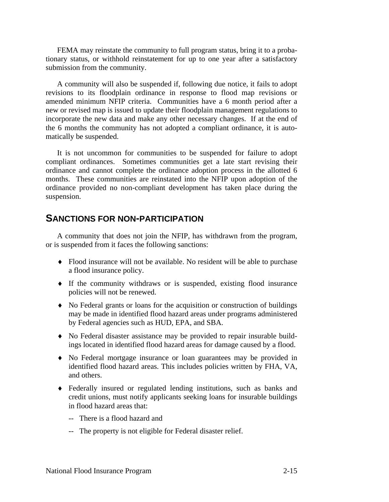<span id="page-14-0"></span>FEMA may reinstate the community to full program status, bring it to a probationary status, or withhold reinstatement for up to one year after a satisfactory submission from the community.

A community will also be suspended if, following due notice, it fails to adopt revisions to its floodplain ordinance in response to flood map revisions or amended minimum NFIP criteria. Communities have a 6 month period after a new or revised map is issued to update their floodplain management regulations to incorporate the new data and make any other necessary changes. If at the end of the 6 months the community has not adopted a compliant ordinance, it is automatically be suspended.

It is not uncommon for communities to be suspended for failure to adopt compliant ordinances. Sometimes communities get a late start revising their ordinance and cannot complete the ordinance adoption process in the allotted 6 months. These communities are reinstated into the NFIP upon adoption of the ordinance provided no non-compliant development has taken place during the suspension.

#### **SANCTIONS FOR NON-PARTICIPATION**

A community that does not join the NFIP, has withdrawn from the program, or is suspended from it faces the following sanctions:

- ♦ Flood insurance will not be available. No resident will be able to purchase a flood insurance policy.
- ♦ If the community withdraws or is suspended, existing flood insurance policies will not be renewed.
- ♦ No Federal grants or loans for the acquisition or construction of buildings may be made in identified flood hazard areas under programs administered by Federal agencies such as HUD, EPA, and SBA.
- ♦ No Federal disaster assistance may be provided to repair insurable buildings located in identified flood hazard areas for damage caused by a flood.
- ♦ No Federal mortgage insurance or loan guarantees may be provided in identified flood hazard areas. This includes policies written by FHA, VA, and others.
- ♦ Federally insured or regulated lending institutions, such as banks and credit unions, must notify applicants seeking loans for insurable buildings in flood hazard areas that:
	- -- There is a flood hazard and
	- -- The property is not eligible for Federal disaster relief.